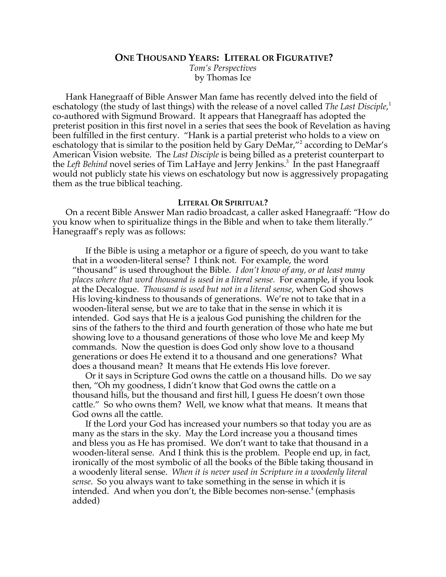### **ONE THOUSAND YEARS: LITERAL OR FIGURATIVE?**

*Tom's Perspectives* by Thomas Ice

Hank Hanegraaff of Bible Answer Man fame has recently delved into the field of eschatology (the study of last things) with the release of a novel called *The Last Disciple*, 1 co-authored with Sigmund Broward. It appears that Hanegraaff has adopted the preterist position in this first novel in a series that sees the book of Revelation as having been fulfilled in the first century. "Hank is a partial preterist who holds to a view on eschatology that is similar to the position held by Gary DeMar,"<sup>2</sup> according to DeMar's American Vision website. The *Last Disciple* is being billed as a preterist counterpart to the *Left Behind* novel series of Tim LaHaye and Jerry Jenkins.<sup>3</sup> In the past Hanegraaff would not publicly state his views on eschatology but now is aggressively propagating them as the true biblical teaching.

# **LITERAL OR SPIRITUAL?**

On a recent Bible Answer Man radio broadcast, a caller asked Hanegraaff: "How do you know when to spiritualize things in the Bible and when to take them literally." Hanegraaff's reply was as follows:

If the Bible is using a metaphor or a figure of speech, do you want to take that in a wooden-literal sense? I think not. For example, the word "thousand" is used throughout the Bible. *I don't know of any, or at least many places where that word thousand is used in a literal sense.* For example, if you look at the Decalogue. *Thousand is used but not in a literal sense*, when God shows His loving-kindness to thousands of generations. We're not to take that in a wooden-literal sense, but we are to take that in the sense in which it is intended. God says that He is a jealous God punishing the children for the sins of the fathers to the third and fourth generation of those who hate me but showing love to a thousand generations of those who love Me and keep My commands. Now the question is does God only show love to a thousand generations or does He extend it to a thousand and one generations? What does a thousand mean? It means that He extends His love forever.

Or it says in Scripture God owns the cattle on a thousand hills. Do we say then, "Oh my goodness, I didn't know that God owns the cattle on a thousand hills, but the thousand and first hill, I guess He doesn't own those cattle." So who owns them? Well, we know what that means. It means that God owns all the cattle.

If the Lord your God has increased your numbers so that today you are as many as the stars in the sky. May the Lord increase you a thousand times and bless you as He has promised. We don't want to take that thousand in a wooden-literal sense. And I think this is the problem. People end up, in fact, ironically of the most symbolic of all the books of the Bible taking thousand in a woodenly literal sense. *When it is never used in Scripture in a woodenly literal sense*. So you always want to take something in the sense in which it is intended. And when you don't, the Bible becomes non-sense.<sup>4</sup> (emphasis added)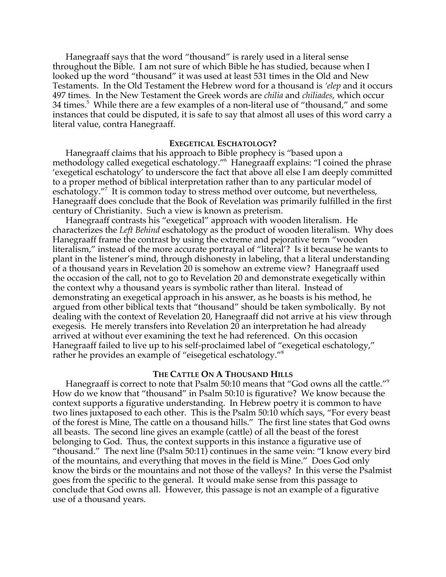Hanegraaff says that the word "thousand" is rarely used in a literal sense throughout the Bible. I am not sure of which Bible he has studied, because when I looked up the word "thousand" it was used at least 531 times in the Old and New Testaments. In the Old Testament the Hebrew word for a thousand is *'elep* and it occurs 497 times. In the New Testament the Greek words are *chilia* and *chiliades*, which occur 34 times. $^5$  While there are a few examples of a non-literal use of "thousand," and some instances that could be disputed, it is safe to say that almost all uses of this word carry a literal value, contra Hanegraaff.

# **EXEGETICAL ESCHATOLOGY?**

Hanegraaff claims that his approach to Bible prophecy is "based upon a methodology called exegetical eschatology."6 Hanegraaff explains: "I coined the phrase 'exegetical eschatology' to underscore the fact that above all else I am deeply committed to a proper method of biblical interpretation rather than to any particular model of eschatology."7 It is common today to stress method over outcome, but nevertheless, Hanegraaff does conclude that the Book of Revelation was primarily fulfilled in the first century of Christianity. Such a view is known as preterism.

Hanegraaff contrasts his "exegetical" approach with wooden literalism. He characterizes the *Left Behind* eschatology as the product of wooden literalism. Why does Hanegraaff frame the contrast by using the extreme and pejorative term "wooden literalism," instead of the more accurate portrayal of "literal'? Is it because he wants to plant in the listener's mind, through dishonesty in labeling, that a literal understanding of a thousand years in Revelation 20 is somehow an extreme view? Hanegraaff used the occasion of the call, not to go to Revelation 20 and demonstrate exegetically within the context why a thousand years is symbolic rather than literal. Instead of demonstrating an exegetical approach in his answer, as he boasts is his method, he argued from other biblical texts that "thousand" should be taken symbolically. By not dealing with the context of Revelation 20, Hanegraaff did not arrive at his view through exegesis. He merely transfers into Revelation 20 an interpretation he had already arrived at without ever examining the text he had referenced. On this occasion Hanegraaff failed to live up to his self-proclaimed label of "exegetical eschatology," rather he provides an example of "eisegetical eschatology."8

# **THE CATTLE ON A THOUSAND HILLS**

Hanegraaff is correct to note that Psalm 50:10 means that "God owns all the cattle."<sup>9</sup> How do we know that "thousand" in Psalm 50:10 is figurative? We know because the context supports a figurative understanding. In Hebrew poetry it is common to have two lines juxtaposed to each other. This is the Psalm 50:10 which says, "For every beast of the forest is Mine, The cattle on a thousand hills." The first line states that God owns all beasts. The second line gives an example (cattle) of all the beast of the forest belonging to God. Thus, the context supports in this instance a figurative use of "thousand." The next line (Psalm 50:11) continues in the same vein: "I know every bird of the mountains, and everything that moves in the field is Mine." Does God only know the birds or the mountains and not those of the valleys? In this verse the Psalmist goes from the specific to the general. It would make sense from this passage to conclude that God owns all. However, this passage is not an example of a figurative use of a thousand years.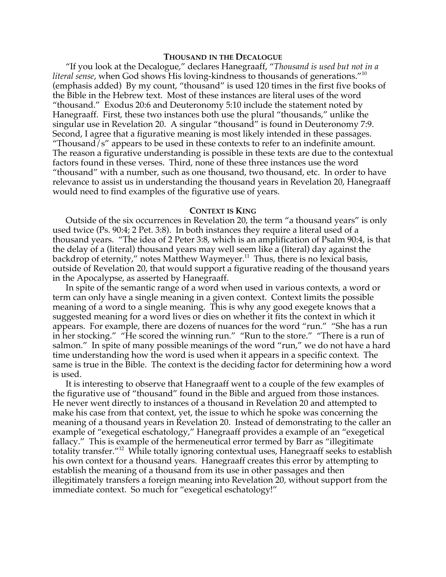### **THOUSAND IN THE DECALOGUE**

"If you look at the Decalogue," declares Hanegraaff, "*Thousand is used but not in a literal sense*, when God shows His loving-kindness to thousands of generations."<sup>10</sup> (emphasis added) By my count, "thousand" is used 120 times in the first five books of the Bible in the Hebrew text. Most of these instances are literal uses of the word "thousand." Exodus 20:6 and Deuteronomy 5:10 include the statement noted by Hanegraaff. First, these two instances both use the plural "thousands," unlike the singular use in Revelation 20. A singular "thousand" is found in Deuteronomy 7:9. Second, I agree that a figurative meaning is most likely intended in these passages. "Thousand/s" appears to be used in these contexts to refer to an indefinite amount. The reason a figurative understanding is possible in these texts are due to the contextual factors found in these verses. Third, none of these three instances use the word "thousand" with a number, such as one thousand, two thousand, etc. In order to have relevance to assist us in understanding the thousand years in Revelation 20, Hanegraaff would need to find examples of the figurative use of years.

#### **CONTEXT IS KING**

Outside of the six occurrences in Revelation 20, the term "a thousand years" is only used twice (Ps. 90:4; 2 Pet. 3:8). In both instances they require a literal used of a thousand years. "The idea of 2 Peter 3:8, which is an amplification of Psalm 90:4, is that the delay of a (literal) thousand years may well seem like a (literal) day against the backdrop of eternity," notes Matthew Waymeyer.<sup>11</sup> Thus, there is no lexical basis, outside of Revelation 20, that would support a figurative reading of the thousand years in the Apocalypse, as asserted by Hanegraaff.

In spite of the semantic range of a word when used in various contexts, a word or term can only have a single meaning in a given context. Context limits the possible meaning of a word to a single meaning. This is why any good exegete knows that a suggested meaning for a word lives or dies on whether it fits the context in which it appears. For example, there are dozens of nuances for the word "run." "She has a run in her stocking." "He scored the winning run." "Run to the store." "There is a run of salmon." In spite of many possible meanings of the word "run," we do not have a hard time understanding how the word is used when it appears in a specific context. The same is true in the Bible. The context is the deciding factor for determining how a word is used.

It is interesting to observe that Hanegraaff went to a couple of the few examples of the figurative use of "thousand" found in the Bible and argued from those instances. He never went directly to instances of a thousand in Revelation 20 and attempted to make his case from that context, yet, the issue to which he spoke was concerning the meaning of a thousand years in Revelation 20. Instead of demonstrating to the caller an example of "exegetical eschatology," Hanegraaff provides a example of an "exegetical fallacy." This is example of the hermeneutical error termed by Barr as "illegitimate totality transfer."<sup>12</sup> While totally ignoring contextual uses, Hanegraaff seeks to establish his own context for a thousand years. Hanegraaff creates this error by attempting to establish the meaning of a thousand from its use in other passages and then illegitimately transfers a foreign meaning into Revelation 20, without support from the immediate context. So much for "exegetical eschatology!"